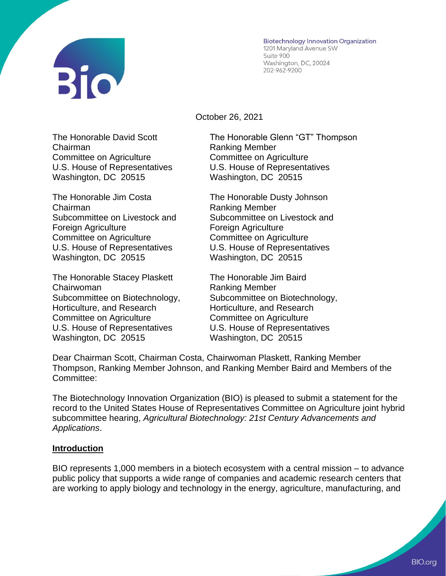

**Biotechnology Innovation Organization** 1201 Maryland Avenue SW Suite 900 Washington, DC, 20024 202-962-9200

October 26, 2021

Chairman **Chairman** Ranking Member Committee on Agriculture Committee on Agriculture Washington, DC 20515 Washington, DC 20515

The Honorable Jim Costa The Honorable Dusty Johnson Chairman **Ranking Member** Foreign Agriculture Foreign Agriculture Committee on Agriculture Committee on Agriculture U.S. House of Representatives U.S. House of Representatives Washington, DC 20515 Washington, DC 20515

The Honorable Stacey Plaskett The Honorable Jim Baird Chairwoman **Ranking Member** Subcommittee on Biotechnology, Subcommittee on Biotechnology, Horticulture, and Research Horticulture, and Research Committee on Agriculture Committee on Agriculture U.S. House of Representatives U.S. House of Representatives Washington, DC 20515 Washington, DC 20515

The Honorable David Scott The Honorable Glenn "GT" Thompson U.S. House of Representatives U.S. House of Representatives

Subcommittee on Livestock and Subcommittee on Livestock and

Dear Chairman Scott, Chairman Costa, Chairwoman Plaskett, Ranking Member Thompson, Ranking Member Johnson, and Ranking Member Baird and Members of the Committee:

The Biotechnology Innovation Organization (BIO) is pleased to submit a statement for the record to the United States House of Representatives Committee on Agriculture joint hybrid subcommittee hearing, *Agricultural Biotechnology: 21st Century Advancements and Applications*.

## **Introduction**

BIO represents 1,000 members in a biotech ecosystem with a central mission – to advance public policy that supports a wide range of companies and academic research centers that are working to apply biology and technology in the energy, agriculture, manufacturing, and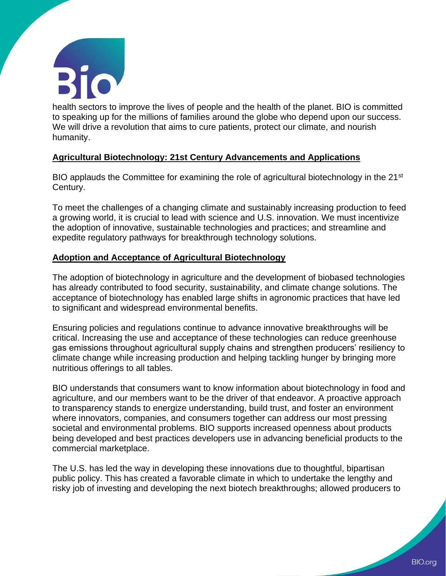

health sectors to improve the lives of people and the health of the planet. BIO is committed to speaking up for the millions of families around the globe who depend upon our success. We will drive a revolution that aims to cure patients, protect our climate, and nourish humanity.

## **Agricultural Biotechnology: 21st Century Advancements and Applications**

BIO applauds the Committee for examining the role of agricultural biotechnology in the 21<sup>st</sup> Century.

To meet the challenges of a changing climate and sustainably increasing production to feed a growing world, it is crucial to lead with science and U.S. innovation. We must incentivize the adoption of innovative, sustainable technologies and practices; and streamline and expedite regulatory pathways for breakthrough technology solutions.

## **Adoption and Acceptance of Agricultural Biotechnology**

The adoption of biotechnology in agriculture and the development of biobased technologies has already contributed to food security, sustainability, and climate change solutions. The acceptance of biotechnology has enabled large shifts in agronomic practices that have led to significant and widespread environmental benefits.

Ensuring policies and regulations continue to advance innovative breakthroughs will be critical. Increasing the use and acceptance of these technologies can reduce greenhouse gas emissions throughout agricultural supply chains and strengthen producers' resiliency to climate change while increasing production and helping tackling hunger by bringing more nutritious offerings to all tables.

BIO understands that consumers want to know information about biotechnology in food and agriculture, and our members want to be the driver of that endeavor. A proactive approach to transparency stands to energize understanding, build trust, and foster an environment where innovators, companies, and consumers together can address our most pressing societal and environmental problems. BIO supports increased openness about products being developed and best practices developers use in advancing beneficial products to the commercial marketplace.

The U.S. has led the way in developing these innovations due to thoughtful, bipartisan public policy. This has created a favorable climate in which to undertake the lengthy and risky job of investing and developing the next biotech breakthroughs; allowed producers to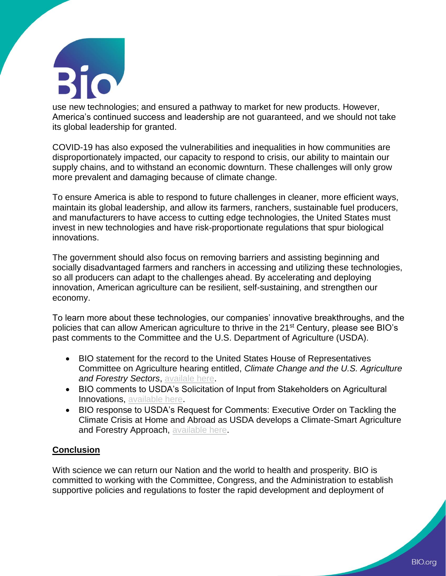

use new technologies; and ensured a pathway to market for new products. However, America's continued success and leadership are not guaranteed, and we should not take its global leadership for granted.

COVID-19 has also exposed the vulnerabilities and inequalities in how communities are disproportionately impacted, our capacity to respond to crisis, our ability to maintain our supply chains, and to withstand an economic downturn. These challenges will only grow more prevalent and damaging because of climate change.

To ensure America is able to respond to future challenges in cleaner, more efficient ways, maintain its global leadership, and allow its farmers, ranchers, sustainable fuel producers, and manufacturers to have access to cutting edge technologies, the United States must invest in new technologies and have risk-proportionate regulations that spur biological innovations.

The government should also focus on removing barriers and assisting beginning and socially disadvantaged farmers and ranchers in accessing and utilizing these technologies, so all producers can adapt to the challenges ahead. By accelerating and deploying innovation, American agriculture can be resilient, self-sustaining, and strengthen our economy.

To learn more about these technologies, our companies' innovative breakthroughs, and the policies that can allow American agriculture to thrive in the 21<sup>st</sup> Century, please see BIO's past comments to the Committee and the U.S. Department of Agriculture (USDA).

- BIO statement for the record to the United States House of Representatives Committee on Agriculture hearing entitled, *Climate Change and the U.S. Agriculture and Forestry Sectors*, [availale here.](https://www.bio.org/letters-testimony-comments/bio-submits-testimony-first-climate-hearing-new-house-agriculture)
- BIO comments to USDA's Solicitation of Input from Stakeholders on Agricultural Innovations, [available here.](https://www.bio.org/letters-testimony-comments/bio-submits-comments-usda-ag-innovation)
- BIO response to USDA's Request for Comments: Executive Order on Tackling the Climate Crisis at Home and Abroad as USDA develops a Climate-Smart Agriculture and Forestry Approach, [available here.](https://www.bio.org/letters-testimony-comments/bio-submits-comments-usda-highlighting-biotechs-role-tackling-climate)

## **Conclusion**

With science we can return our Nation and the world to health and prosperity. BIO is committed to working with the Committee, Congress, and the Administration to establish supportive policies and regulations to foster the rapid development and deployment of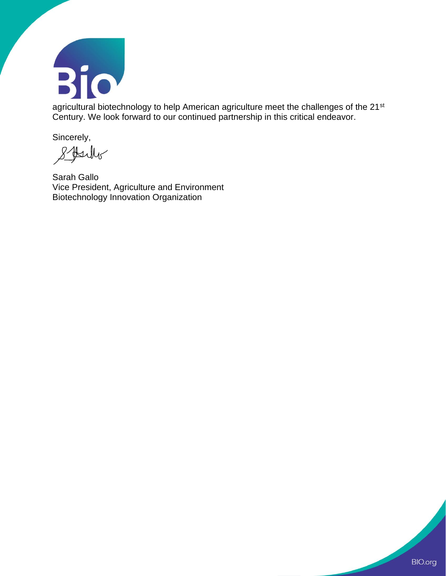

agricultural biotechnology to help American agriculture meet the challenges of the 21<sup>st</sup> Century. We look forward to our continued partnership in this critical endeavor.

Sincerely,

8 Harlly

Sarah Gallo Vice President, Agriculture and Environment Biotechnology Innovation Organization